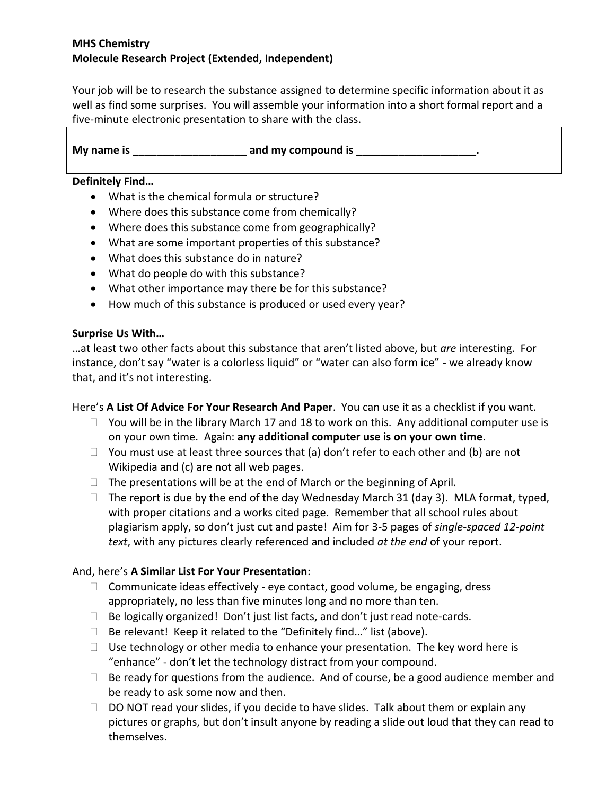### **MHS Chemistry Molecule Research Project (Extended, Independent)**

Your job will be to research the substance assigned to determine specific information about it as well as find some surprises. You will assemble your information into a short formal report and a five-minute electronic presentation to share with the class.

**My name is \_\_\_\_\_\_\_\_\_\_\_\_\_\_\_\_\_\_\_ and my compound is \_\_\_\_\_\_\_\_\_\_\_\_\_\_\_\_\_\_\_\_.**

#### **Definitely Find…**

- What is the chemical formula or structure?
- Where does this substance come from chemically?
- Where does this substance come from geographically?
- What are some important properties of this substance?
- What does this substance do in nature?
- What do people do with this substance?
- What other importance may there be for this substance?
- How much of this substance is produced or used every year?

#### **Surprise Us With…**

…at least two other facts about this substance that aren't listed above, but *are* interesting. For instance, don't say "water is a colorless liquid" or "water can also form ice" - we already know that, and it's not interesting.

### Here's **A List Of Advice For Your Research And Paper**. You can use it as a checklist if you want.

- $\Box$  You will be in the library March 17 and 18 to work on this. Any additional computer use is on your own time. Again: **any additional computer use is on your own time**.
- $\Box$  You must use at least three sources that (a) don't refer to each other and (b) are not Wikipedia and (c) are not all web pages.
- $\Box$  The presentations will be at the end of March or the beginning of April.
- $\Box$  The report is due by the end of the day Wednesday March 31 (day 3). MLA format, typed, with proper citations and a works cited page. Remember that all school rules about plagiarism apply, so don't just cut and paste! Aim for 3-5 pages of *single-spaced 12-point text*, with any pictures clearly referenced and included *at the end* of your report.

### And, here's **A Similar List For Your Presentation**:

- $\Box$  Communicate ideas effectively eye contact, good volume, be engaging, dress appropriately, no less than five minutes long and no more than ten.
- $\Box$  Be logically organized! Don't just list facts, and don't just read note-cards.
- $\Box$  Be relevant! Keep it related to the "Definitely find..." list (above).
- $\Box$  Use technology or other media to enhance your presentation. The key word here is "enhance" - don't let the technology distract from your compound.
- $\Box$  Be ready for questions from the audience. And of course, be a good audience member and be ready to ask some now and then.
- $\Box$  DO NOT read your slides, if you decide to have slides. Talk about them or explain any pictures or graphs, but don't insult anyone by reading a slide out loud that they can read to themselves.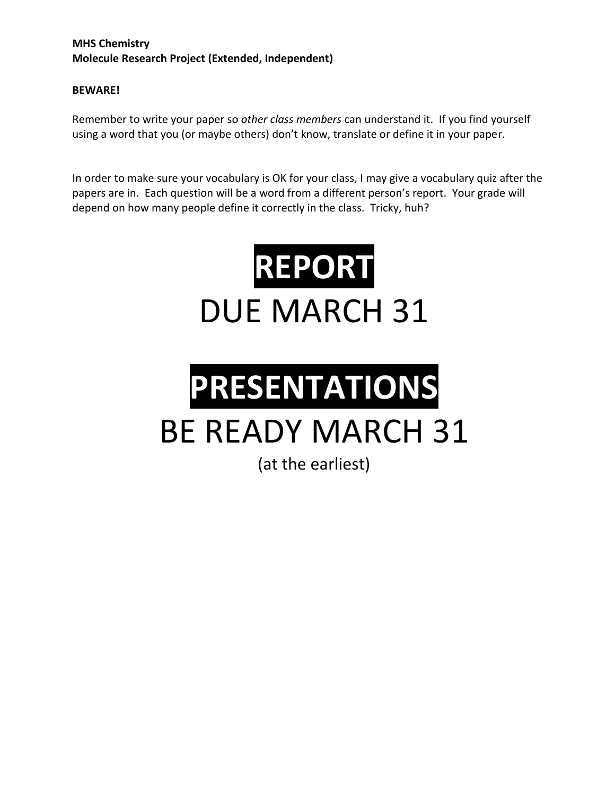## **MHS Chemistry Molecule Research Project (Extended, Independent)**

### **BEWARE!**

Remember to write your paper so *other class members* can understand it. If you find yourself using a word that you (or maybe others) don't know, translate or define it in your paper.

In order to make sure your vocabulary is OK for your class, I may give a vocabulary quiz after the papers are in. Each question will be a word from a different person's report. Your grade will depend on how many people define it correctly in the class. Tricky, huh?



# **PRESENTATIONS** BE READY MARCH 31

(at the earliest)